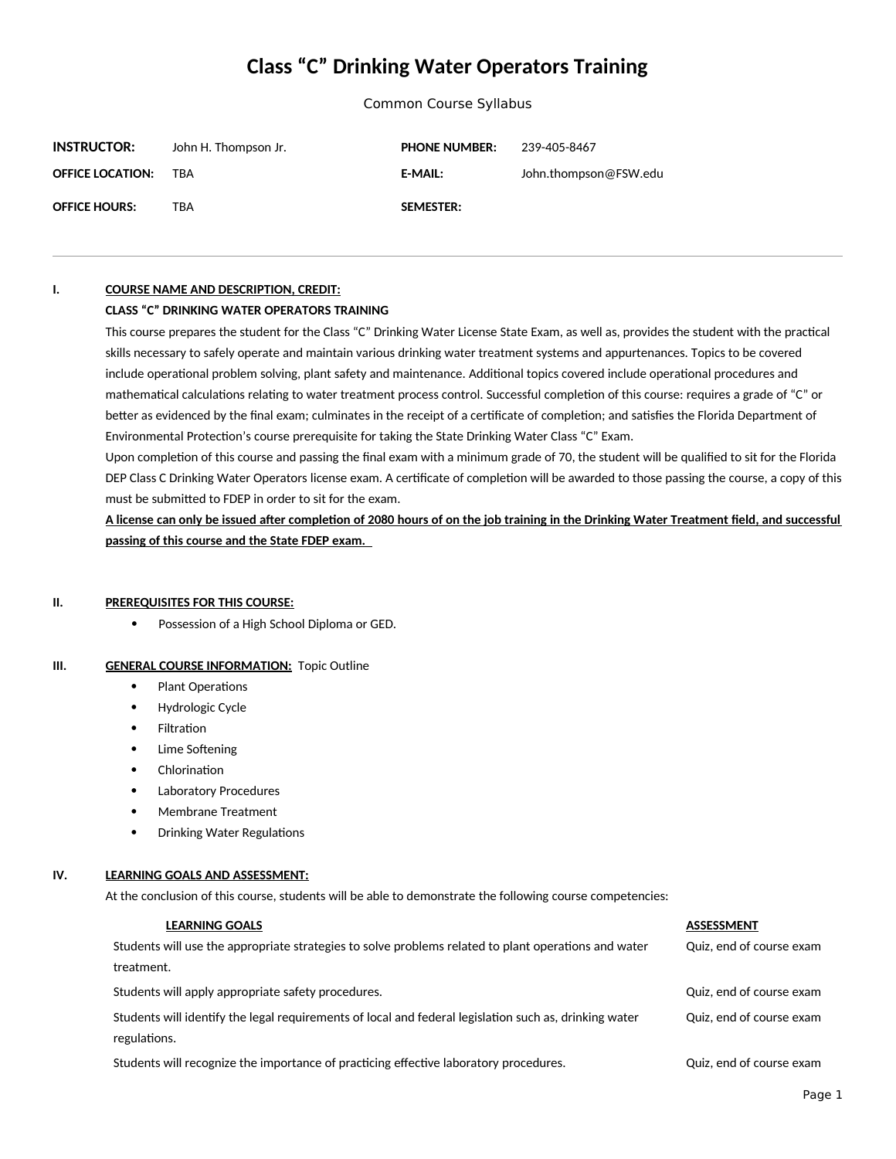# **Class "C" Drinking Water Operators Training**

Common Course Syllabus

| <b>INSTRUCTOR:</b>      | John H. Thompson Jr. | <b>PHONE NUMBER:</b> | 239-405-8467          |
|-------------------------|----------------------|----------------------|-----------------------|
| <b>OFFICE LOCATION:</b> | TRA                  | <b>E-MAIL:</b>       | John.thompson@FSW.edu |
| <b>OFFICE HOURS:</b>    | TRA                  | <b>SEMESTER:</b>     |                       |

# **I. COURSE NAME AND DESCRIPTION, CREDIT:**

# **CLASS "C" DRINKING WATER OPERATORS TRAINING**

This course prepares the student for the Class "C" Drinking Water License State Exam, as well as, provides the student with the practical skills necessary to safely operate and maintain various drinking water treatment systems and appurtenances. Topics to be covered include operational problem solving, plant safety and maintenance. Additional topics covered include operational procedures and mathematical calculations relating to water treatment process control. Successful completion of this course: requires a grade of "C" or better as evidenced by the final exam; culminates in the receipt of a certificate of completion; and satisfies the Florida Department of Environmental Protection's course prerequisite for taking the State Drinking Water Class "C" Exam.

Upon completion of this course and passing the final exam with a minimum grade of 70, the student will be qualified to sit for the Florida DEP Class C Drinking Water Operators license exam. A certificate of completion will be awarded to those passing the course, a copy of this must be submitted to FDEP in order to sit for the exam.

**A license can only be issued after completion of 2080 hours of on the job training in the Drinking Water Treatment field, and successful passing of this course and the State FDEP exam.** 

### **II. PREREQUISITES FOR THIS COURSE:**

Possession of a High School Diploma or GED.

# **III. GENERAL COURSE INFORMATION:** Topic Outline

- Plant Operations
- Hydrologic Cycle
- Filtration
- Lime Softening
- Chlorination
- Laboratory Procedures
- Membrane Treatment
- Drinking Water Regulations

# **IV. LEARNING GOALS AND ASSESSMENT:**

At the conclusion of this course, students will be able to demonstrate the following course competencies:

#### **LEARNING GOALS**

# Students will use the appropriate strategies to solve problems related to plant operations and water treatment.

Students will apply appropriate safety procedures. Compared the students of course example of course example of course example of course example of course example of course example of course example of course example of co

Students will identify the legal requirements of local and federal legislation such as, drinking water regulations.

Students will recognize the importance of practicing effective laboratory procedures.  $\qquad \qquad \qquad$  Quiz, end of course exam

Quiz, end of course exam

Quiz, end of course exam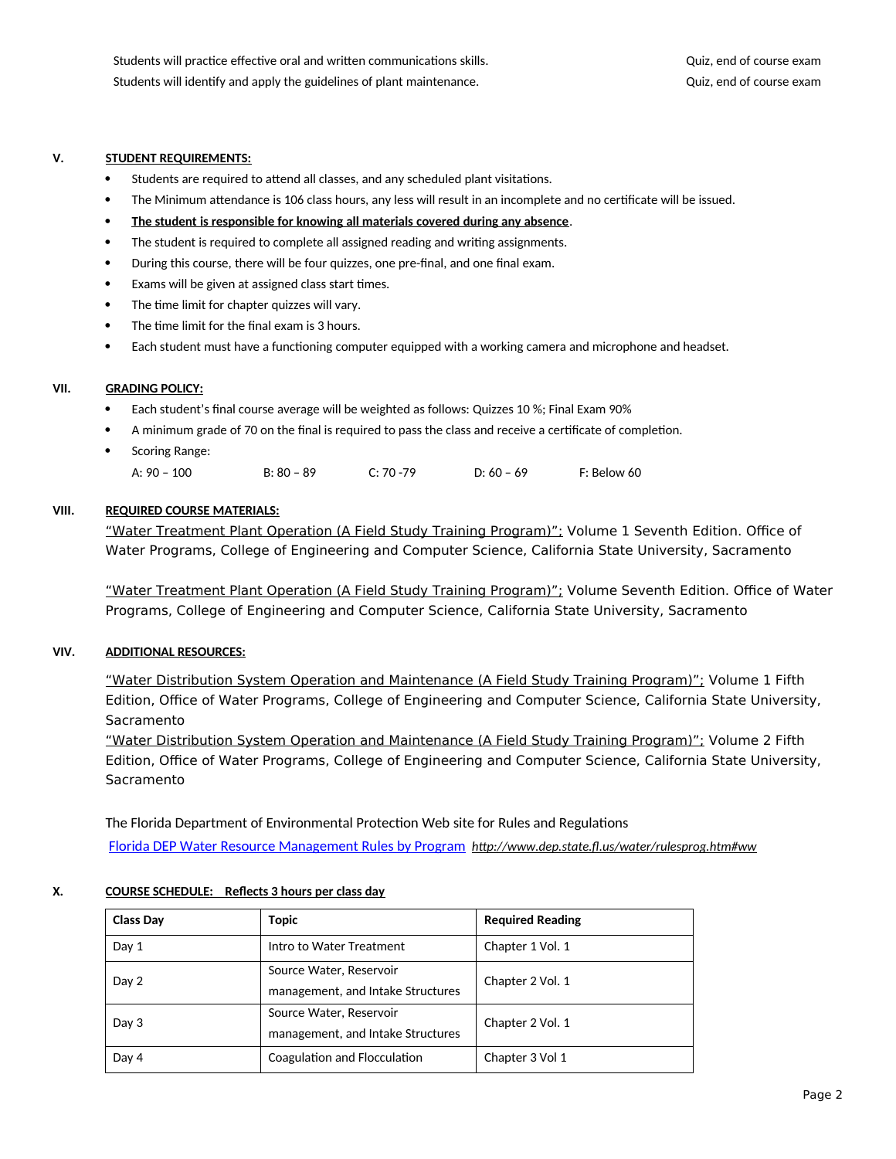# **V. STUDENT REQUIREMENTS:**

- Students are required to attend all classes, and any scheduled plant visitations.
- The Minimum attendance is 106 class hours, any less will result in an incomplete and no certificate will be issued.
- **The student is responsible for knowing all materials covered during any absence**.
- The student is required to complete all assigned reading and writing assignments.
- During this course, there will be four quizzes, one pre-final, and one final exam.
- Exams will be given at assigned class start times.
- The time limit for chapter quizzes will vary.
- The time limit for the final exam is 3 hours.
- Each student must have a functioning computer equipped with a working camera and microphone and headset.

# **VII. GRADING POLICY:**

- Each student's final course average will be weighted as follows: Quizzes 10 %; Final Exam 90%
- A minimum grade of 70 on the final is required to pass the class and receive a certificate of completion.
- Scoring Range:

| A: $90 - 100$ | $B: 80 - 89$ | $C: 70 - 79$<br>ີ | D: $60 - 69$ | F: Below 60 |
|---------------|--------------|-------------------|--------------|-------------|
|---------------|--------------|-------------------|--------------|-------------|

# **VIII. REQUIRED COURSE MATERIALS:**

"Water Treatment Plant Operation (A Field Study Training Program)"; Volume 1 Seventh Edition. Office of Water Programs, College of Engineering and Computer Science, California State University, Sacramento

"Water Treatment Plant Operation (A Field Study Training Program)"; Volume Seventh Edition. Office of Water Programs, College of Engineering and Computer Science, California State University, Sacramento

# **VIV. ADDITIONAL RESOURCES:**

"Water Distribution System Operation and Maintenance (A Field Study Training Program)"; Volume 1 Fifth Edition, Office of Water Programs, College of Engineering and Computer Science, California State University, Sacramento

"Water Distribution System Operation and Maintenance (A Field Study Training Program)"; Volume 2 Fifth Edition, Office of Water Programs, College of Engineering and Computer Science, California State University, Sacramento

The Florida Department of Environmental Protection Web site for Rules and Regulations [Florida DEP Water Resource Management Rules by Program](../../../../C:/Users/LE-PODIUM-U/FinalDraft%20Sylabi/150%20hour%20Sylabi/Florida%20DEP%20Water%20Resource%20Management%20Rules%20by%20Program) *http://www.dep.state.fl.us/water/rulesprog.htm#ww*

# **X. COURSE SCHEDULE: Reflects 3 hours per class day**

| <b>Class Day</b> | Topic                             | <b>Required Reading</b> |  |
|------------------|-----------------------------------|-------------------------|--|
| Day 1            | Intro to Water Treatment          | Chapter 1 Vol. 1        |  |
| Day 2            | Source Water, Reservoir           | Chapter 2 Vol. 1        |  |
|                  | management, and Intake Structures |                         |  |
| Day 3            | Source Water, Reservoir           | Chapter 2 Vol. 1        |  |
|                  | management, and Intake Structures |                         |  |
| Day 4            | Coagulation and Flocculation      | Chapter 3 Vol 1         |  |